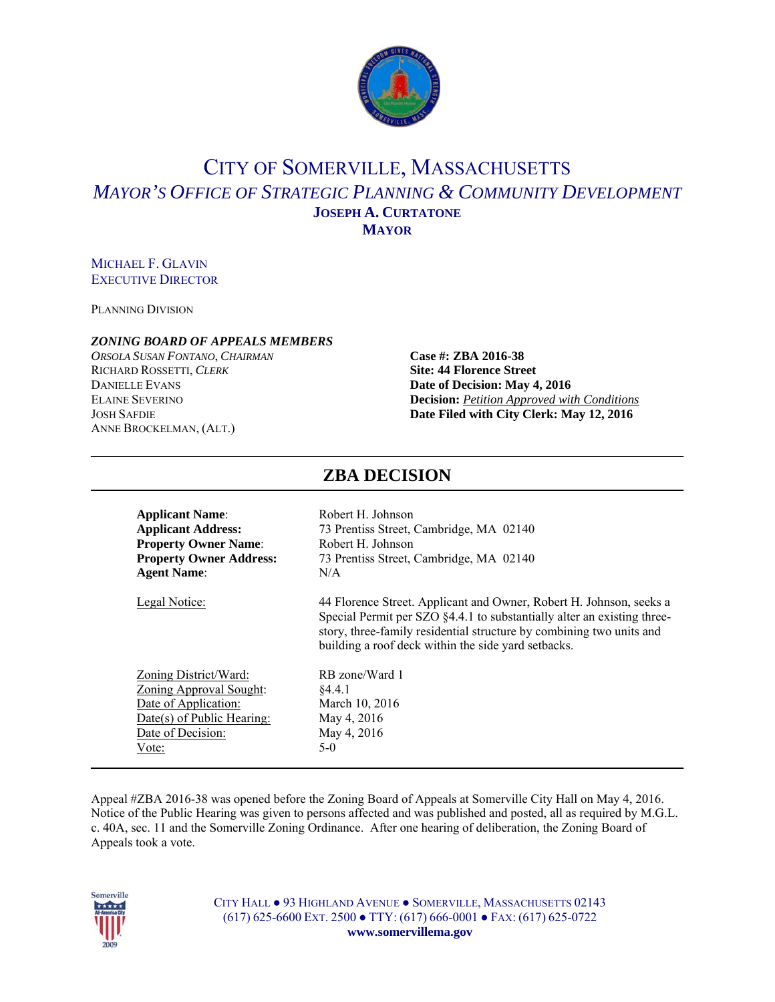

# CITY OF SOMERVILLE, MASSACHUSETTS *MAYOR'S OFFICE OF STRATEGIC PLANNING & COMMUNITY DEVELOPMENT* **JOSEPH A. CURTATONE MAYOR**

### MICHAEL F. GLAVIN EXECUTIVE DIRECTOR

PLANNING DIVISION

#### *ZONING BOARD OF APPEALS MEMBERS*

*ORSOLA SUSAN FONTANO*, *CHAIRMAN* **Case #: ZBA 2016-38** RICHARD ROSSETTI, *CLERK* **Site: 44 Florence Street DANIELLE EVANS Date of Decision: May 4, 2016** ANNE BROCKELMAN, (ALT.)

# ELAINE SEVERINO **Decision:** *Petition Approved with Conditions* JOSH SAFDIE **Date Filed with City Clerk: May 12, 2016**

| <b>Applicant Name:</b>         | Robert H. Johnson                                                                                                                                                                                                                                                             |
|--------------------------------|-------------------------------------------------------------------------------------------------------------------------------------------------------------------------------------------------------------------------------------------------------------------------------|
| <b>Applicant Address:</b>      | 73 Prentiss Street, Cambridge, MA 02140                                                                                                                                                                                                                                       |
| <b>Property Owner Name:</b>    | Robert H. Johnson                                                                                                                                                                                                                                                             |
| <b>Property Owner Address:</b> | 73 Prentiss Street, Cambridge, MA 02140                                                                                                                                                                                                                                       |
| <b>Agent Name:</b>             | N/A                                                                                                                                                                                                                                                                           |
| <b>Legal Notice:</b>           | 44 Florence Street. Applicant and Owner, Robert H. Johnson, seeks a<br>Special Permit per SZO §4.4.1 to substantially alter an existing three-<br>story, three-family residential structure by combining two units and<br>building a roof deck within the side yard setbacks. |
| Zoning District/Ward:          | RB zone/Ward 1                                                                                                                                                                                                                                                                |
| <b>Zoning Approval Sought:</b> | \$4.4.1                                                                                                                                                                                                                                                                       |
| Date of Application:           | March 10, 2016                                                                                                                                                                                                                                                                |
| Date(s) of Public Hearing:     | May 4, 2016                                                                                                                                                                                                                                                                   |
| Date of Decision:              | May 4, 2016                                                                                                                                                                                                                                                                   |
| Vote:                          | $5-0$                                                                                                                                                                                                                                                                         |

**ZBA DECISION** 

#### Appeal #ZBA 2016-38 was opened before the Zoning Board of Appeals at Somerville City Hall on May 4, 2016. Notice of the Public Hearing was given to persons affected and was published and posted, all as required by M.G.L. c. 40A, sec. 11 and the Somerville Zoning Ordinance. After one hearing of deliberation, the Zoning Board of Appeals took a vote.

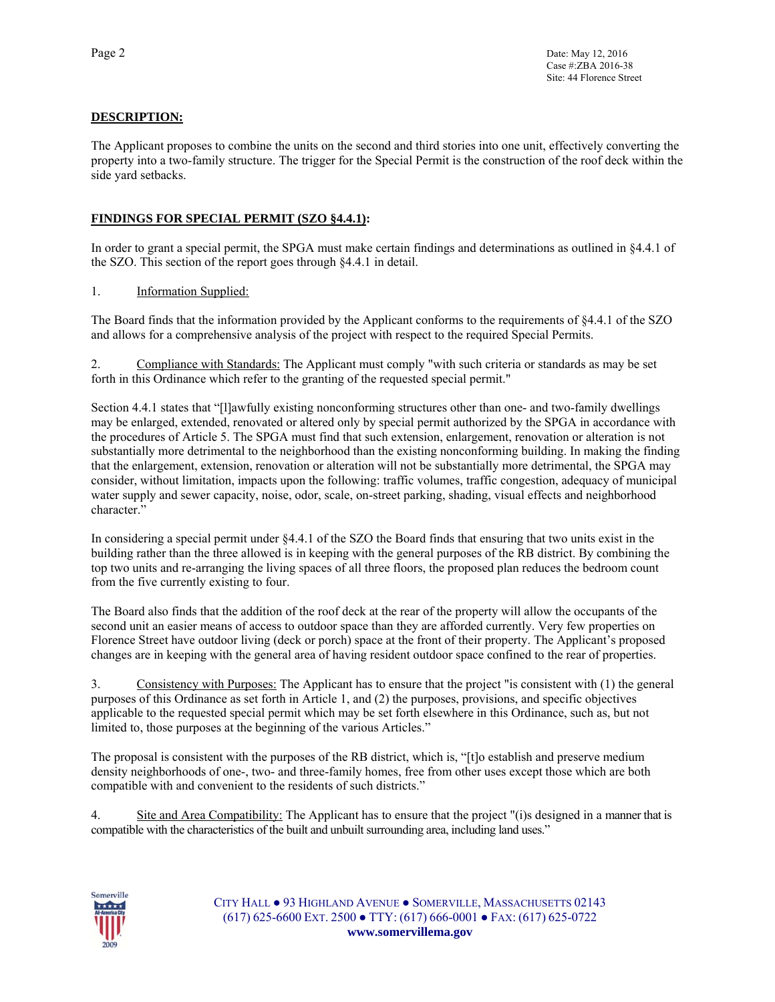#### **DESCRIPTION:**

The Applicant proposes to combine the units on the second and third stories into one unit, effectively converting the property into a two-family structure. The trigger for the Special Permit is the construction of the roof deck within the side yard setbacks.

#### **FINDINGS FOR SPECIAL PERMIT (SZO §4.4.1):**

In order to grant a special permit, the SPGA must make certain findings and determinations as outlined in §4.4.1 of the SZO. This section of the report goes through §4.4.1 in detail.

1. Information Supplied:

The Board finds that the information provided by the Applicant conforms to the requirements of §4.4.1 of the SZO and allows for a comprehensive analysis of the project with respect to the required Special Permits.

2. Compliance with Standards: The Applicant must comply "with such criteria or standards as may be set forth in this Ordinance which refer to the granting of the requested special permit."

Section 4.4.1 states that "[l]awfully existing nonconforming structures other than one- and two-family dwellings may be enlarged, extended, renovated or altered only by special permit authorized by the SPGA in accordance with the procedures of Article 5. The SPGA must find that such extension, enlargement, renovation or alteration is not substantially more detrimental to the neighborhood than the existing nonconforming building. In making the finding that the enlargement, extension, renovation or alteration will not be substantially more detrimental, the SPGA may consider, without limitation, impacts upon the following: traffic volumes, traffic congestion, adequacy of municipal water supply and sewer capacity, noise, odor, scale, on-street parking, shading, visual effects and neighborhood character."

In considering a special permit under §4.4.1 of the SZO the Board finds that ensuring that two units exist in the building rather than the three allowed is in keeping with the general purposes of the RB district. By combining the top two units and re-arranging the living spaces of all three floors, the proposed plan reduces the bedroom count from the five currently existing to four.

The Board also finds that the addition of the roof deck at the rear of the property will allow the occupants of the second unit an easier means of access to outdoor space than they are afforded currently. Very few properties on Florence Street have outdoor living (deck or porch) space at the front of their property. The Applicant's proposed changes are in keeping with the general area of having resident outdoor space confined to the rear of properties.

3. Consistency with Purposes: The Applicant has to ensure that the project "is consistent with (1) the general purposes of this Ordinance as set forth in Article 1, and (2) the purposes, provisions, and specific objectives applicable to the requested special permit which may be set forth elsewhere in this Ordinance, such as, but not limited to, those purposes at the beginning of the various Articles."

The proposal is consistent with the purposes of the RB district, which is, "[t]o establish and preserve medium density neighborhoods of one-, two- and three-family homes, free from other uses except those which are both compatible with and convenient to the residents of such districts."

4. Site and Area Compatibility: The Applicant has to ensure that the project "(i)s designed in a manner that is compatible with the characteristics of the built and unbuilt surrounding area, including land uses."

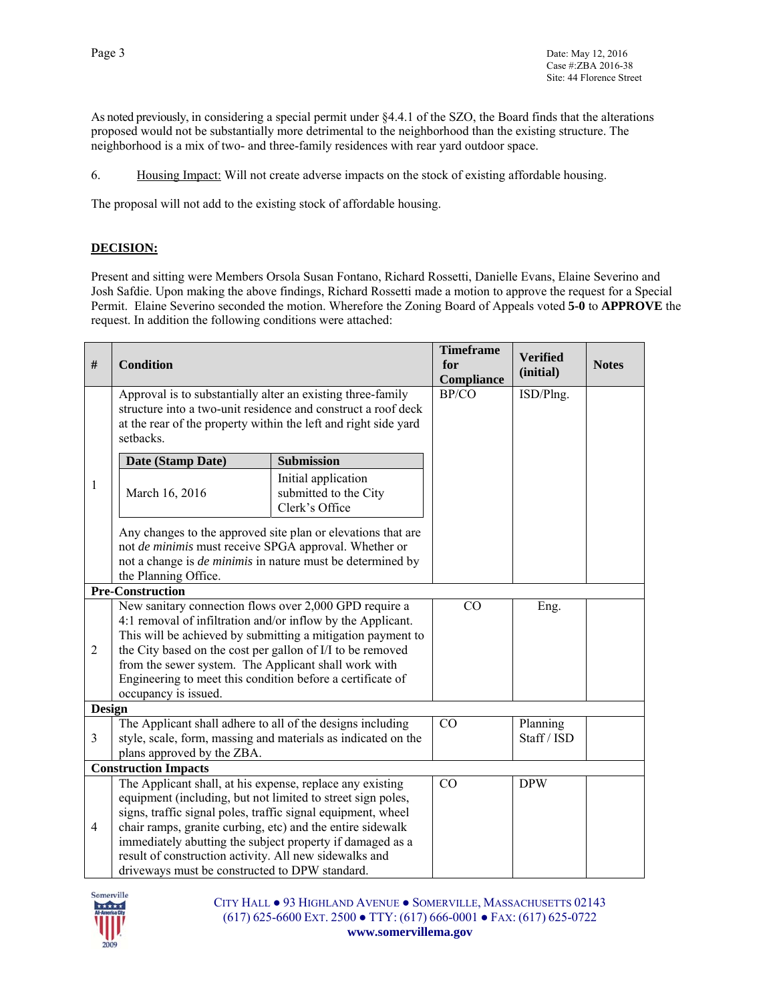As noted previously, in considering a special permit under §4.4.1 of the SZO, the Board finds that the alterations proposed would not be substantially more detrimental to the neighborhood than the existing structure. The neighborhood is a mix of two- and three-family residences with rear yard outdoor space.

6. Housing Impact: Will not create adverse impacts on the stock of existing affordable housing.

The proposal will not add to the existing stock of affordable housing.

#### **DECISION:**

Present and sitting were Members Orsola Susan Fontano, Richard Rossetti, Danielle Evans, Elaine Severino and Josh Safdie. Upon making the above findings, Richard Rossetti made a motion to approve the request for a Special Permit. Elaine Severino seconded the motion. Wherefore the Zoning Board of Appeals voted **5-0** to **APPROVE** the request. In addition the following conditions were attached:

| $\#$                        | <b>Condition</b>                                                                                                                                                                                                                                                                                                                                                                                                                |                                                                | <b>Timeframe</b><br>for<br>Compliance | <b>Verified</b><br>(initial) | <b>Notes</b> |
|-----------------------------|---------------------------------------------------------------------------------------------------------------------------------------------------------------------------------------------------------------------------------------------------------------------------------------------------------------------------------------------------------------------------------------------------------------------------------|----------------------------------------------------------------|---------------------------------------|------------------------------|--------------|
|                             | Approval is to substantially alter an existing three-family<br>structure into a two-unit residence and construct a roof deck<br>at the rear of the property within the left and right side yard<br>setbacks.                                                                                                                                                                                                                    |                                                                | BP/CO                                 | ISD/Plng.                    |              |
|                             | Date (Stamp Date)                                                                                                                                                                                                                                                                                                                                                                                                               | <b>Submission</b>                                              |                                       |                              |              |
| 1                           | March 16, 2016                                                                                                                                                                                                                                                                                                                                                                                                                  | Initial application<br>submitted to the City<br>Clerk's Office |                                       |                              |              |
|                             | Any changes to the approved site plan or elevations that are<br>not de minimis must receive SPGA approval. Whether or<br>not a change is <i>de minimis</i> in nature must be determined by<br>the Planning Office.                                                                                                                                                                                                              |                                                                |                                       |                              |              |
|                             | <b>Pre-Construction</b>                                                                                                                                                                                                                                                                                                                                                                                                         |                                                                |                                       |                              |              |
| $\overline{2}$              | New sanitary connection flows over 2,000 GPD require a<br>4:1 removal of infiltration and/or inflow by the Applicant.<br>This will be achieved by submitting a mitigation payment to<br>the City based on the cost per gallon of I/I to be removed<br>from the sewer system. The Applicant shall work with<br>Engineering to meet this condition before a certificate of<br>occupancy is issued.                                |                                                                | CO                                    | Eng.                         |              |
| <b>Design</b>               |                                                                                                                                                                                                                                                                                                                                                                                                                                 |                                                                |                                       |                              |              |
| 3                           | The Applicant shall adhere to all of the designs including<br>style, scale, form, massing and materials as indicated on the<br>plans approved by the ZBA.                                                                                                                                                                                                                                                                       |                                                                | CO                                    | Planning<br>Staff / ISD      |              |
| <b>Construction Impacts</b> |                                                                                                                                                                                                                                                                                                                                                                                                                                 |                                                                |                                       |                              |              |
| $\overline{4}$              | The Applicant shall, at his expense, replace any existing<br>equipment (including, but not limited to street sign poles,<br>signs, traffic signal poles, traffic signal equipment, wheel<br>chair ramps, granite curbing, etc) and the entire sidewalk<br>immediately abutting the subject property if damaged as a<br>result of construction activity. All new sidewalks and<br>driveways must be constructed to DPW standard. |                                                                | CO                                    | <b>DPW</b>                   |              |

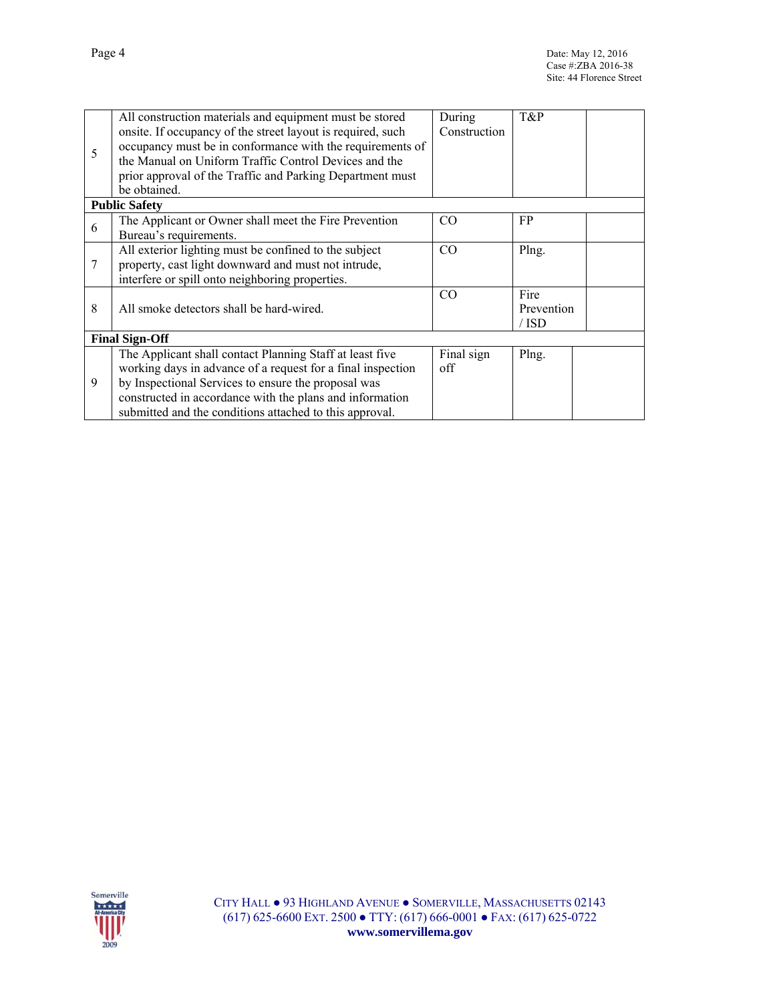|                       | All construction materials and equipment must be stored     | During       | T&P        |  |  |  |
|-----------------------|-------------------------------------------------------------|--------------|------------|--|--|--|
| 5                     | onsite. If occupancy of the street layout is required, such | Construction |            |  |  |  |
|                       | occupancy must be in conformance with the requirements of   |              |            |  |  |  |
|                       | the Manual on Uniform Traffic Control Devices and the       |              |            |  |  |  |
|                       | prior approval of the Traffic and Parking Department must   |              |            |  |  |  |
|                       | be obtained.                                                |              |            |  |  |  |
|                       | <b>Public Safety</b>                                        |              |            |  |  |  |
| 6                     | The Applicant or Owner shall meet the Fire Prevention       | CO.          | FP.        |  |  |  |
|                       | Bureau's requirements.                                      |              |            |  |  |  |
| 7                     | All exterior lighting must be confined to the subject       | CO           | Plng.      |  |  |  |
|                       | property, cast light downward and must not intrude,         |              |            |  |  |  |
|                       | interfere or spill onto neighboring properties.             |              |            |  |  |  |
|                       |                                                             | CO           | Fire       |  |  |  |
| 8                     | All smoke detectors shall be hard-wired.                    |              | Prevention |  |  |  |
|                       |                                                             |              | / ISD      |  |  |  |
| <b>Final Sign-Off</b> |                                                             |              |            |  |  |  |
| 9                     | The Applicant shall contact Planning Staff at least five    | Final sign   | Plng.      |  |  |  |
|                       | working days in advance of a request for a final inspection | off          |            |  |  |  |
|                       | by Inspectional Services to ensure the proposal was         |              |            |  |  |  |
|                       | constructed in accordance with the plans and information    |              |            |  |  |  |
|                       | submitted and the conditions attached to this approval.     |              |            |  |  |  |